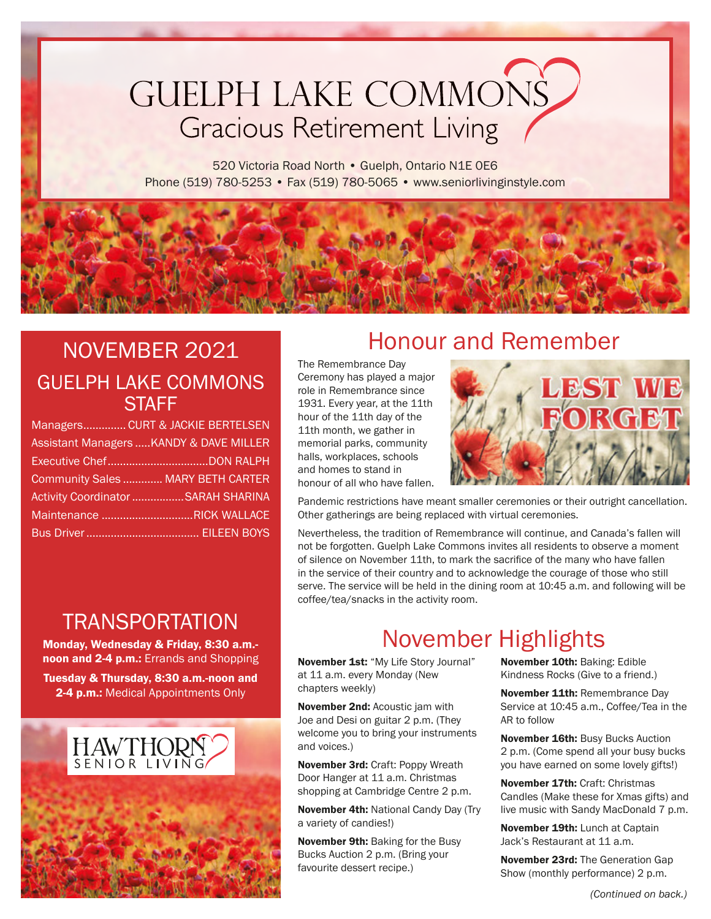# **GUELPH LAKE COMMONS Gracious Retirement Living**

520 Victoria Road North · Guelph, Ontario N1E OE6 Phone (519) 780-5253 • Fax (519) 780-5065 • www.seniorlivinginstyle.com

### NOVEMBER 2021 GUELPH LAKE COMMONS **STAFF**

| Managers CURT & JACKIE BERTELSEN        |
|-----------------------------------------|
| Assistant Managers  KANDY & DAVE MILLER |
|                                         |
| Community Sales  MARY BETH CARTER       |
| Activity Coordinator SARAH SHARINA      |
| Maintenance RICK WALLACE                |
|                                         |

### Honour and Remember

The Remembrance Day Ceremony has played a major role in Remembrance since 1931. Every year, at the 11th hour of the 11th day of the 11th month, we gather in memorial parks, community halls, workplaces, schools and homes to stand in honour of all who have fallen.



Pandemic restrictions have meant smaller ceremonies or their outright cancellation. Other gatherings are being replaced with virtual ceremonies.

Nevertheless, the tradition of Remembrance will continue, and Canada's fallen will not be forgotten. Guelph Lake Commons invites all residents to observe a moment of silence on November 11th, to mark the sacrifice of the many who have fallen in the service of their country and to acknowledge the courage of those who still serve. The service will be held in the dining room at 10:45 a.m. and following will be coffee/tea/snacks in the activity room.

### TRANSPORTATION

Monday, Wednesday & Friday, 8:30 a.m. noon and 2-4 p.m.: Errands and Shopping Tuesday & Thursday, 8:30 a.m.-noon and 2-4 p.m.: Medical Appointments Only



## November Highlights

November 1st: "My Life Story Journal" at 11 a.m. every Monday (New chapters weekly)

November 2nd: Acoustic jam with Joe and Desi on guitar 2 p.m. (They welcome you to bring your instruments and voices.)

November 3rd: Craft: Poppy Wreath Door Hanger at 11 a.m. Christmas shopping at Cambridge Centre 2 p.m.

November 4th: National Candy Day (Try a variety of candies!)

November 9th: Baking for the Busy Bucks Auction 2 p.m. (Bring your favourite dessert recipe.)

November 10th: Baking: Edible Kindness Rocks (Give to a friend.)

November 11th: Remembrance Day Service at 10:45 a.m., Coffee/Tea in the AR to follow

November 16th: Busy Bucks Auction 2 p.m. (Come spend all your busy bucks you have earned on some lovely gifts!)

November 17th: Craft: Christmas Candles (Make these for Xmas gifts) and live music with Sandy MacDonald 7 p.m.

November 19th: Lunch at Captain Jack's Restaurant at 11 a.m.

November 23rd: The Generation Gap Show (monthly performance) 2 p.m.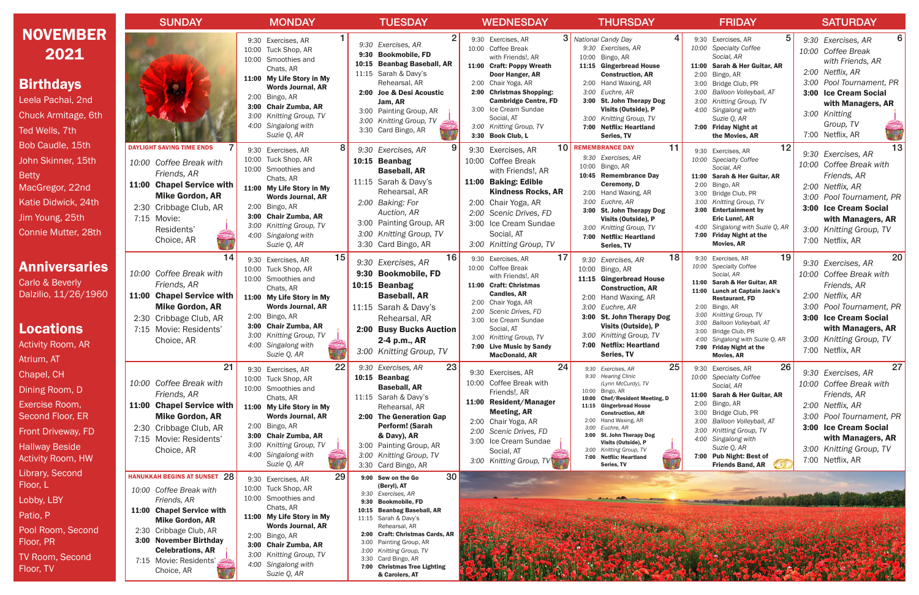| <b>WEDNESDAY</b>                                               |              | <b>THURSDAY</b>                                            |               | <b>FRIDAY</b>                                               |       | <b>SATURDAY</b>                               |
|----------------------------------------------------------------|--------------|------------------------------------------------------------|---------------|-------------------------------------------------------------|-------|-----------------------------------------------|
| 3<br>Exercises, AR<br><b>Coffee Break</b><br>with Friends!, AR | 10:00        | 4<br>National Candy Day<br>9:30 Exercises, AR<br>Bingo, AR | 9:30<br>10:00 | 5<br>Exercises, AR<br><b>Specialty Coffee</b><br>Social, AR |       | 6<br>9:30 Exercises, AR<br>10:00 Coffee Break |
| <b>Craft: Poppy Wreath</b>                                     | 11:15        | <b>Gingerbread House</b>                                   | 11:00         | Sarah & Her Guitar, AR                                      |       | with Friends, AR<br>2:00 Netflix, AR          |
| Door Hanger, AR<br>Chair Yoga, AR                              |              | <b>Construction, AR</b><br>2:00 Hand Waxing, AR            | 2:00<br>3:00  | Bingo, AR<br>Bridge Club, PR                                |       | 3:00 Pool Tournament, PR                      |
| <b>Christmas Shopping:</b>                                     | 3:00         | Euchre, AR                                                 | 3:00          | Balloon Volleyball, AT                                      | 3:00  | <b>Ice Cream Social</b>                       |
| <b>Cambridge Centre, FD</b>                                    |              | 3:00 St. John Therapy Dog                                  | 3:00          | Knitting Group, TV                                          |       | with Managers, AR                             |
| Ice Cream Sundae<br>Social, AT                                 |              | Visits (Outside), P                                        | 4:00          | Singalong with                                              |       | 3:00 Knitting                                 |
| Knitting Group, TV                                             | 3:00<br>7:00 | Knitting Group, TV<br><b>Netflix: Heartland</b>            | 7:00          | Suzie Q, AR<br><b>Friday Night at</b>                       |       | Group, TV                                     |
| <b>Book Club, L</b>                                            |              | Series, TV                                                 |               | the Movies, AR                                              |       | 7:00 Netflix, AR                              |
| 10<br>Exercises, AR                                            |              | 11<br><b>REMEMBRANCE DAY</b>                               | 9:30          | 12<br>Exercises, AR                                         | 9:30  | 13<br>Exercises, AR                           |
| <b>Coffee Break</b>                                            | 10:00        | 9:30 Exercises, AR                                         | 10:00         | <b>Specialty Coffee</b>                                     | 10:00 | Coffee Break with                             |
| with Friends!, AR                                              |              | Bingo, AR<br>10:45 Remembrance Day                         | 11:00         | Social, AR<br>Sarah & Her Guitar, AR                        |       | Friends, AR                                   |
| <b>Baking: Edible</b>                                          |              | <b>Ceremony, D</b>                                         | 2:00          | Bingo, AR                                                   |       | 2:00 Netflix, AR                              |
| <b>Kindness Rocks, AR</b>                                      | 2:00         | Hand Waxing, AR                                            | 3:00          | Bridge Club, PR                                             | 3:00  | Pool Tournament, PR                           |
| Chair Yoga, AR                                                 | 3:00<br>3:00 | Euchre, AR<br><b>St. John Therapy Dog</b>                  | 3:00<br>3:00  | Knitting Group, TV<br><b>Entertainment by</b>               |       | 3:00 Ice Cream Social                         |
| Scenic Drives, FD                                              |              | Visits (Outside), P                                        |               | Eric Lunn!, AR                                              |       | with Managers, AR                             |
| Ice Cream Sundae                                               | 3:00         | Knitting Group, TV                                         | 4:00          | Singalong with Suzie Q, AR                                  | 3:00  | Knitting Group, TV                            |
| Social, AT                                                     | 7:00         | <b>Netflix: Heartland</b>                                  | 7:00          | <b>Friday Night at the</b>                                  |       | 7:00 Netflix, AR                              |
| Knitting Group, TV                                             |              | Series, TV                                                 |               | <b>Movies, AR</b>                                           |       |                                               |
| 17<br>Exercises, AR                                            | 9:30         | 18<br>Exercises, AR                                        | 9:30<br>10:00 | 19<br>Exercises, AR<br><b>Specialty Coffee</b>              |       | 20<br>9:30 Exercises, AR                      |
| Coffee Break<br>with Friends!, AR                              | 10:00        | Bingo, AR                                                  |               | Social, AR                                                  | 10:00 | Coffee Break with                             |
| <b>Craft: Christmas</b>                                        |              | 11:15 Gingerbread House<br><b>Construction, AR</b>         | 11:00         | Sarah & Her Guitar, AR                                      |       | Friends, AR                                   |
| <b>Candles, AR</b>                                             |              | 2:00 Hand Waxing, AR                                       | 11:00         | <b>Lunch at Captain Jack's</b><br><b>Restaurant, FD</b>     | 2:00  | Netflix, AR                                   |
| Chair Yoga, AR<br>Scenic Drives, FD                            | 3:00         | Euchre, AR                                                 | 2:00          | Bingo, AR                                                   | 3:00  | Pool Tournament, PR                           |
| Ice Cream Sundae                                               |              | 3:00 St. John Therapy Dog                                  | 3:00          | Knitting Group, TV                                          |       | 3:00 Ice Cream Social                         |
| Social, AT                                                     |              | Visits (Outside), P                                        | 3:00<br>3:00  | Balloon Volleyball, AT<br>Bridge Club, PR                   |       | with Managers, AR                             |
| Knitting Group, TV                                             | 3:00<br>7:00 | Knitting Group, TV<br><b>Netflix: Heartland</b>            | 4:00          | Singalong with Suzie Q, AR                                  |       | 3:00 Knitting Group, TV                       |
| <b>Live Music by Sandy</b><br><b>MacDonald, AR</b>             |              | Series, TV                                                 | 7:00          | <b>Friday Night at the</b><br><b>Movies, AR</b>             |       | 7:00 Netflix, AR                              |
| 24                                                             | 9:30         | 25<br>Exercises, AR                                        | 9:30          | 26<br>Exercises, AR                                         |       | 27                                            |
| Exercises, AR                                                  | 9:30         | <b>Hearing Clinic</b>                                      | 10:00         | <b>Specialty Coffee</b>                                     |       | 9:30 Exercises, AR                            |
| Coffee Break with<br>Friends!, AR                              | 10:00        | (Lynn McCurdy), TV<br>Bingo, AR                            |               | Social, AR                                                  | 10:00 | Coffee Break with                             |
| <b>Resident/Manager</b>                                        | 10:00        | <b>Chef/Resident Meeting, D</b>                            | 2:00          | 11:00 Sarah & Her Guitar, AR<br>Bingo, AR                   |       | Friends, AR                                   |
| <b>Meeting, AR</b>                                             |              | 11:15 Gingerbread House<br><b>Construction, AR</b>         | 3:00          | Bridge Club, PR                                             |       | 2:00 Netflix, AR                              |
| Chair Yoga, AR                                                 | 2:00         | Hand Waxing, AR                                            | 3:00          | Balloon Volleyball, AT                                      | 3:00  | Pool Tournament, PR                           |
| Scenic Drives, FD                                              | 3:00<br>3:00 | Euchre, AR<br>St. John Therapy Dog                         | 3:00          | Knitting Group, TV                                          |       | 3:00 Ice Cream Social                         |
| Ice Cream Sundae                                               |              | Visits (Outside), P                                        | 4:00          | Singalong with<br>Suzie Q, AR                               |       | with Managers, AR                             |
| Social, AT                                                     | 3:00<br>7:00 | Knitting Group, TV<br><b>Netflix: Heartland</b>            |               | 7:00 Pub Night: Best of                                     | 3:00  | Knitting Group, TV                            |
| Knitting Group, TV                                             |              | Series, TV                                                 |               | <b>Friends Band, AR</b>                                     |       | 7:00 Netflix, AR                              |
|                                                                |              |                                                            |               |                                                             |       |                                               |

|                                                                                                                                                      | <b>SUNDAY</b>                                                                                                                                                                                                                                               | <b>MONDAY</b>                                                                                                                                                                                                                                                       | <b>TUESDAY</b>                                                                                                                                                                                                                                                                                                                                                                 | <b>WEDNESDAY</b>                                                                                                                                                                                                                                                                           | <b>THURSDAY</b>                                                                                                                                                                                                                                                                                                                                                     |
|------------------------------------------------------------------------------------------------------------------------------------------------------|-------------------------------------------------------------------------------------------------------------------------------------------------------------------------------------------------------------------------------------------------------------|---------------------------------------------------------------------------------------------------------------------------------------------------------------------------------------------------------------------------------------------------------------------|--------------------------------------------------------------------------------------------------------------------------------------------------------------------------------------------------------------------------------------------------------------------------------------------------------------------------------------------------------------------------------|--------------------------------------------------------------------------------------------------------------------------------------------------------------------------------------------------------------------------------------------------------------------------------------------|---------------------------------------------------------------------------------------------------------------------------------------------------------------------------------------------------------------------------------------------------------------------------------------------------------------------------------------------------------------------|
| <b>NOVEMBER</b><br>2021<br><b>Birthdays</b><br>Leela Pachai, 2nd<br><b>Chuck Armitage, 6th</b><br>Ted Wells, 7th                                     |                                                                                                                                                                                                                                                             | 9:30 Exercises, AR<br>10:00<br>Tuck Shop, AR<br>10:00 Smoothies and<br>Chats, AR<br>11:00 My Life Story in My<br><b>Words Journal, AR</b><br>2:00 Bingo, AR<br><b>Chair Zumba, AR</b><br>3:00<br>3:00<br>Knitting Group, TV<br>4:00 Singalong with<br>Suzie Q, AR   | 2<br>Exercises, AR<br>9:30<br>9:30<br><b>Bookmobile, FD</b><br><b>Beanbag Baseball, AR</b><br>10:15<br>11:15 Sarah & Davy's<br>Rehearsal, AR<br>2:00 Joe & Desi Acoustic<br>Jam, AR<br>3:00 Painting Group, AR<br>3:00<br>Knitting Group, TV<br>3:30<br>Card Bingo, AR                                                                                                         | 9:30 Exercises, AR<br>10:00 Coffee Break<br>with Friends!, AR<br>11:00 Craft: Poppy Wreath<br>Door Hanger, AR<br>2:00 Chair Yoga, AR<br>2:00 Christmas Shopping:<br><b>Cambridge Centre, FD</b><br>3:00 Ice Cream Sundae<br>Social, AT<br>3:00 Knitting Group, TV<br>3:30 Book Club, L     | 3 National Candy Day<br>9:30 Exercises, AR<br>10:00<br>Bingo, AR<br>11:15 Gingerbread House<br><b>Construction, AR</b><br>2:00 Hand Waxing, AR<br>Euchre, AR<br>3:00<br>3:00 St. John Therapy Dog<br>Visits (Outside), P<br>3:00 Knitting Group, TV<br>7:00 Netflix: Heartland<br>Series, TV                                                                        |
| Bob Caudle, 15th<br>John Skinner, 15th<br><b>Betty</b><br>MacGregor, 22nd<br>Katie Didwick, 24th<br>Jim Young, 25th<br>Connie Mutter, 28th           | <b>DAYLIGHT SAVING TIME ENDS</b><br>10:00 Coffee Break with<br>Friends, AR<br>11:00 Chapel Service with<br><b>Mike Gordon, AR</b><br>2:30 Cribbage Club, AR<br>7:15 Movie:<br>Residents'<br>Choice, AR                                                      | 8<br>9:30 Exercises, AR<br>Tuck Shop, AR<br>10:00<br>10:00 Smoothies and<br>Chats, AR<br>11:00 My Life Story in My<br><b>Words Journal, AR</b><br>2:00 Bingo, AR<br><b>Chair Zumba, AR</b><br>3:00<br>3:00 Knitting Group, TV<br>4:00 Singalong with<br>Suzie Q, AR | 9:30<br>Exercises, AR<br>10:15 Beanbag<br><b>Baseball, AR</b><br>11:15 Sarah & Davy's<br>Rehearsal, AR<br>2:00 Baking: For<br>Auction, AR<br>Painting Group, AR<br>3:00<br>3:00<br>Knitting Group, TV<br>3:30 Card Bingo, AR                                                                                                                                                   | 10 <sub>1</sub><br>9:30 Exercises, AR<br>10:00 Coffee Break<br>with Friends!, AR<br>11:00 Baking: Edible<br><b>Kindness Rocks, AR</b><br>2:00 Chair Yoga, AR<br>2:00 Scenic Drives, FD<br>3:00 Ice Cream Sundae<br>Social, AT<br>3:00 Knitting Group, TV                                   | 11<br><b>REMEMBRANCE DAY</b><br>9:30 Exercises, AR<br>Bingo, AR<br>10:00<br>10:45 Remembrance Day<br><b>Ceremony, D</b><br>Hand Waxing, AR<br>2:00<br>Euchre, AR<br>3:00<br><b>St. John Therapy Dog</b><br>3:00<br>Visits (Outside), P<br>3:00 Knitting Group, TV<br>7:00 Netflix: Heartland<br>Series, TV                                                          |
| <b>Anniversaries</b><br>Carlo & Beverly<br>Dalzilio, 11/26/1960<br><b>Locations</b><br><b>Activity Room, AR</b>                                      | 14<br>10:00 Coffee Break with<br>Friends, AR<br>11:00 Chapel Service with<br><b>Mike Gordon, AR</b><br>2:30 Cribbage Club, AR<br>Movie: Residents'<br>7:15<br>Choice, AR                                                                                    | 15<br>9:30 Exercises, AR<br>Tuck Shop, AR<br>10:00<br>10:00 Smoothies and<br>Chats, AR<br>11:00 My Life Story in My<br><b>Words Journal, AR</b><br>Bingo, AR<br>2:00<br>3:00 Chair Zumba, AR<br>3:00<br>Knitting Group, TV<br>4:00 Singalong with<br>Suzie Q, AR    | 16<br>9:30 Exercises, AR<br>9:30 Bookmobile, FD<br>10:15 Beanbag<br><b>Baseball, AR</b><br>11:15 Sarah & Davy's<br>Rehearsal, AR<br><b>Busy Bucks Auction</b><br>2:00<br>2-4 p.m., AR<br>3:00 Knitting Group, TV                                                                                                                                                               | 17<br>9:30 Exercises, AR<br>10:00 Coffee Break<br>with Friends!, AR<br>11:00 Craft: Christmas<br><b>Candles, AR</b><br>2:00 Chair Yoga, AR<br>2:00 Scenic Drives, FD<br>3:00 Ice Cream Sundae<br>Social, AT<br>3:00 Knitting Group, TV<br>7:00 Live Music by Sandy<br><b>MacDonald, AR</b> | 18<br>9:30<br>Exercises, AR<br>10:00<br>Bingo, AR<br>11:15 Gingerbread House<br><b>Construction, AR</b><br>Hand Waxing, AR<br>2:00<br>3:00<br>Euchre, AR<br>3:00 St. John Therapy Dog<br>Visits (Outside), P<br>3:00 Knitting Group, TV<br>7:00 Netflix: Heartland<br>Series, TV                                                                                    |
| Atrium, AT<br>Chapel, CH<br>Dining Room, D<br>Exercise Room,<br>Second Floor, ER<br>Front Driveway, FD<br><b>Hallway Beside</b><br>Activity Room, HW | 21<br>10:00 Coffee Break with<br>Friends, AR<br>11:00 Chapel Service with<br><b>Mike Gordon, AR</b><br>2:30 Cribbage Club, AR<br>7:15 Movie: Residents'<br>Choice, AR                                                                                       | 22<br>9:30 Exercises, AR<br>10:00 Tuck Shop, AR<br>10:00 Smoothies and<br>Chats, AR<br>11:00 My Life Story in My<br><b>Words Journal, AR</b><br>2:00 Bingo, AR<br>3:00 Chair Zumba, AR<br>3:00 Knitting Group, TV<br>4:00 Singalong with<br>Suzie Q, AR             | 23<br>9:30 Exercises, AR<br>10:15 Beanbag<br><b>Baseball, AR</b><br>11:15 Sarah & Davy's<br>Rehearsal, AR<br>2:00 The Generation Gap<br><b>Perform! (Sarah</b><br>& Davy), AR<br>Painting Group, AR<br>3:00<br>3:00<br>Knitting Group, TV<br>3:30<br>Card Bingo, AR                                                                                                            | 24<br>9:30 Exercises, AR<br>10:00 Coffee Break with<br>Friends!, AR<br>11:00 Resident/Manager<br><b>Meeting, AR</b><br>2:00 Chair Yoga, AR<br>2:00 Scenic Drives, FD<br>3:00 Ice Cream Sundae<br>Social, AT<br>3:00 Knitting Group, TV                                                     | 25<br>9:30 Exercises, AR<br>9:30 Hearing Clinic<br>(Lynn McCurdy), TV<br>Bingo, AR<br>10:00<br><b>Chef/Resident Meeting, D</b><br>10:00<br>11:15 Gingerbread House<br><b>Construction, AR</b><br>2:00 Hand Waxing, AR<br>Euchre, AR<br>3:00<br>3:00 St. John Therapy Dog<br>Visits (Outside), P<br>3:00 Knitting Group, TV<br>7:00 Netflix: Heartland<br>Series, TV |
| Library, Second<br><u>Floor, L</u><br>Lobby, LBY<br>Patio, P<br>Pool Room, Second<br>Floor, PR<br><b>TV Room, Second</b><br>Floor, TV                | <b>HANUKKAH BEGINS AT SUNSET 28</b><br>10:00 Coffee Break with<br>Friends, AR<br>11:00 Chapel Service with<br><b>Mike Gordon, AR</b><br>2:30 Cribbage Club, AR<br>3:00 November Birthday<br><b>Celebrations, AR</b><br>7:15 Movie: Residents'<br>Choice, AR | 29<br>9:30 Exercises, AR<br>10:00 Tuck Shop, AR<br>10:00 Smoothies and<br>Chats, AR<br>11:00 My Life Story in My<br><b>Words Journal, AR</b><br>2:00 Bingo, AR<br>3:00 Chair Zumba, AR<br>3:00 Knitting Group, TV<br>4:00 Singalong with<br>Suzie Q, AR             | 30<br>9:00 Sew on the Go<br>(Beryl), AT<br>9:30 Exercises, AR<br><b>Bookmobile, FD</b><br>9:30<br><b>Beanbag Baseball, AR</b><br>10:15<br>11:15 Sarah & Davy's<br>Rehearsal, AR<br><b>Craft: Christmas Cards, AR</b><br>2:00<br>Painting Group, AR<br>3:00<br>Knitting Group, TV<br>3:00<br>Card Bingo, AR<br>3:30<br><b>Christmas Tree Lighting</b><br>7:00<br>& Carolers, AT |                                                                                                                                                                                                                                                                                            |                                                                                                                                                                                                                                                                                                                                                                     |